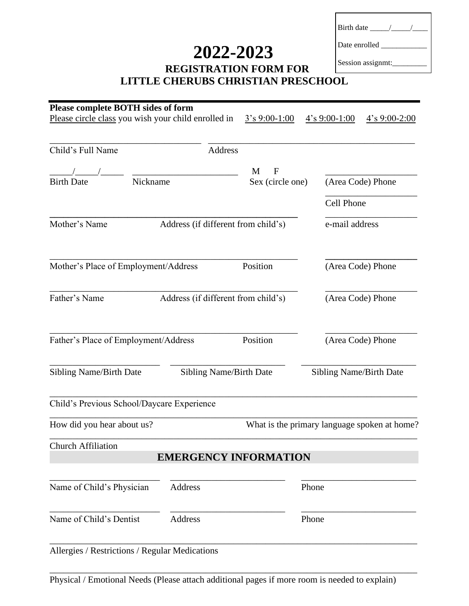# **2022-2023**

| Birth date __ |  |
|---------------|--|
| Date enrolled |  |

#### **REGISTRATION FORM FOR LITTLE CHERUBS CHRISTIAN PRESCHOOL** Session assignmt:

| Please circle class you wish your child enrolled in  | <b>Please complete BOTH sides of form</b>                        | $3's 9:00-1:00$  |                   | $4's 9:00-1:00$   | $4's 9:00-2:00$                              |  |
|------------------------------------------------------|------------------------------------------------------------------|------------------|-------------------|-------------------|----------------------------------------------|--|
| Child's Full Name                                    | Address                                                          |                  |                   |                   |                                              |  |
|                                                      |                                                                  | $\mathbf F$<br>M |                   |                   |                                              |  |
| Nickname<br><b>Birth Date</b>                        |                                                                  | Sex (circle one) |                   | (Area Code) Phone |                                              |  |
|                                                      |                                                                  |                  |                   | Cell Phone        |                                              |  |
| Mother's Name                                        | Address (if different from child's)                              |                  | e-mail address    |                   |                                              |  |
| Mother's Place of Employment/Address                 | Position                                                         |                  | (Area Code) Phone |                   |                                              |  |
| Father's Name<br>Address (if different from child's) |                                                                  |                  | (Area Code) Phone |                   |                                              |  |
| Father's Place of Employment/Address                 |                                                                  | Position         |                   |                   | (Area Code) Phone                            |  |
| <b>Sibling Name/Birth Date</b>                       | <b>Sibling Name/Birth Date</b><br><b>Sibling Name/Birth Date</b> |                  |                   |                   |                                              |  |
| Child's Previous School/Daycare Experience           |                                                                  |                  |                   |                   |                                              |  |
| How did you hear about us?                           |                                                                  |                  |                   |                   | What is the primary language spoken at home? |  |
| <b>Church Affiliation</b>                            |                                                                  |                  |                   |                   |                                              |  |
|                                                      | <b>EMERGENCY INFORMATION</b>                                     |                  |                   |                   |                                              |  |
|                                                      |                                                                  |                  |                   |                   |                                              |  |
| Name of Child's Physician                            | <b>Address</b>                                                   |                  | Phone             |                   |                                              |  |

Physical / Emotional Needs (Please attach additional pages if more room is needed to explain)

\_\_\_\_\_\_\_\_\_\_\_\_\_\_\_\_\_\_\_\_\_\_\_\_\_\_\_\_\_\_\_\_\_\_\_\_\_\_\_\_\_\_\_\_\_\_\_\_\_\_\_\_\_\_\_\_\_\_\_\_\_\_\_\_\_\_\_\_\_\_\_\_\_\_\_\_\_\_\_\_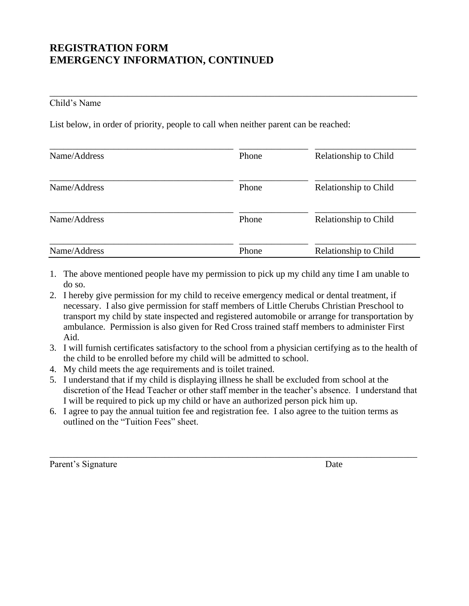## **REGISTRATION FORM EMERGENCY INFORMATION, CONTINUED**

#### Child's Name

List below, in order of priority, people to call when neither parent can be reached:

| Name/Address | Phone | Relationship to Child |
|--------------|-------|-----------------------|
| Name/Address | Phone | Relationship to Child |
| Name/Address | Phone | Relationship to Child |
| Name/Address | Phone | Relationship to Child |

\_\_\_\_\_\_\_\_\_\_\_\_\_\_\_\_\_\_\_\_\_\_\_\_\_\_\_\_\_\_\_\_\_\_\_\_\_\_\_\_\_\_\_\_\_\_\_\_\_\_\_\_\_\_\_\_\_\_\_\_\_\_\_\_\_\_\_\_\_\_\_\_\_\_\_\_\_\_\_\_

- 1. The above mentioned people have my permission to pick up my child any time I am unable to do so.
- 2. I hereby give permission for my child to receive emergency medical or dental treatment, if necessary. I also give permission for staff members of Little Cherubs Christian Preschool to transport my child by state inspected and registered automobile or arrange for transportation by ambulance. Permission is also given for Red Cross trained staff members to administer First Aid.
- 3. I will furnish certificates satisfactory to the school from a physician certifying as to the health of the child to be enrolled before my child will be admitted to school.
- 4. My child meets the age requirements and is toilet trained.
- 5. I understand that if my child is displaying illness he shall be excluded from school at the discretion of the Head Teacher or other staff member in the teacher's absence. I understand that I will be required to pick up my child or have an authorized person pick him up.

\_\_\_\_\_\_\_\_\_\_\_\_\_\_\_\_\_\_\_\_\_\_\_\_\_\_\_\_\_\_\_\_\_\_\_\_\_\_\_\_\_\_\_\_\_\_\_\_\_\_\_\_\_\_\_\_\_\_\_\_\_\_\_\_\_\_\_\_\_\_\_\_\_\_\_\_\_\_\_\_

6. I agree to pay the annual tuition fee and registration fee. I also agree to the tuition terms as outlined on the "Tuition Fees" sheet.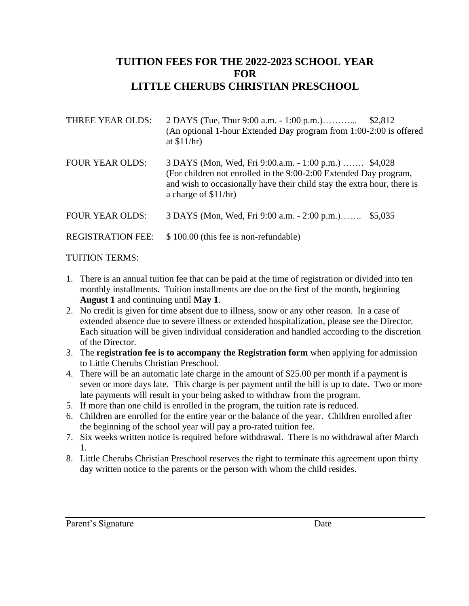### **TUITION FEES FOR THE 2022-2023 SCHOOL YEAR FOR LITTLE CHERUBS CHRISTIAN PRESCHOOL**

| THREE YEAR OLDS:         | 2 DAYS (Tue, Thur 9:00 a.m. - 1:00 p.m.)<br>(An optional 1-hour Extended Day program from 1:00-2:00 is offered<br>at $$11/hr)$                                                                                                  | \$2,812 |
|--------------------------|---------------------------------------------------------------------------------------------------------------------------------------------------------------------------------------------------------------------------------|---------|
| <b>FOUR YEAR OLDS:</b>   | 3 DAYS (Mon, Wed, Fri 9:00.a.m. - 1:00 p.m.)  \$4,028<br>(For children not enrolled in the 9:00-2:00 Extended Day program,<br>and wish to occasionally have their child stay the extra hour, there is<br>a charge of $$11/hr$ ) |         |
| <b>FOUR YEAR OLDS:</b>   | 3 DAYS (Mon, Wed, Fri 9:00 a.m. - 2:00 p.m.)                                                                                                                                                                                    | \$5,035 |
| <b>REGISTRATION FEE:</b> | \$100.00 (this fee is non-refundable)                                                                                                                                                                                           |         |
|                          |                                                                                                                                                                                                                                 |         |

#### TUITION TERMS:

- 1. There is an annual tuition fee that can be paid at the time of registration or divided into ten monthly installments. Tuition installments are due on the first of the month, beginning **August 1** and continuing until **May 1**.
- 2. No credit is given for time absent due to illness, snow or any other reason. In a case of extended absence due to severe illness or extended hospitalization, please see the Director. Each situation will be given individual consideration and handled according to the discretion of the Director.
- 3. The **registration fee is to accompany the Registration form** when applying for admission to Little Cherubs Christian Preschool.
- 4. There will be an automatic late charge in the amount of \$25.00 per month if a payment is seven or more days late. This charge is per payment until the bill is up to date. Two or more late payments will result in your being asked to withdraw from the program.
- 5. If more than one child is enrolled in the program, the tuition rate is reduced.
- 6. Children are enrolled for the entire year or the balance of the year. Children enrolled after the beginning of the school year will pay a pro-rated tuition fee.
- 7. Six weeks written notice is required before withdrawal. There is no withdrawal after March 1.
- 8. Little Cherubs Christian Preschool reserves the right to terminate this agreement upon thirty day written notice to the parents or the person with whom the child resides.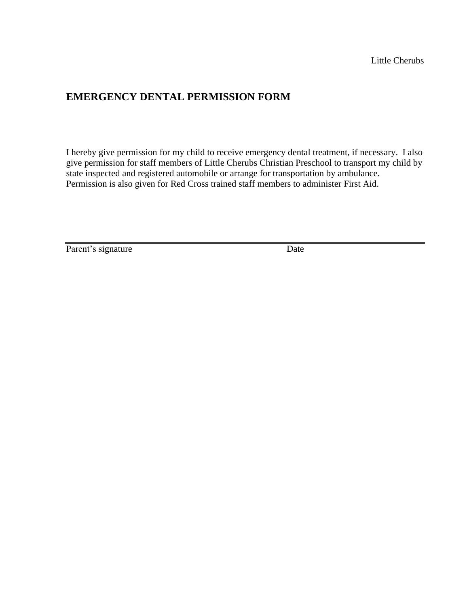### **EMERGENCY DENTAL PERMISSION FORM**

I hereby give permission for my child to receive emergency dental treatment, if necessary. I also give permission for staff members of Little Cherubs Christian Preschool to transport my child by state inspected and registered automobile or arrange for transportation by ambulance. Permission is also given for Red Cross trained staff members to administer First Aid.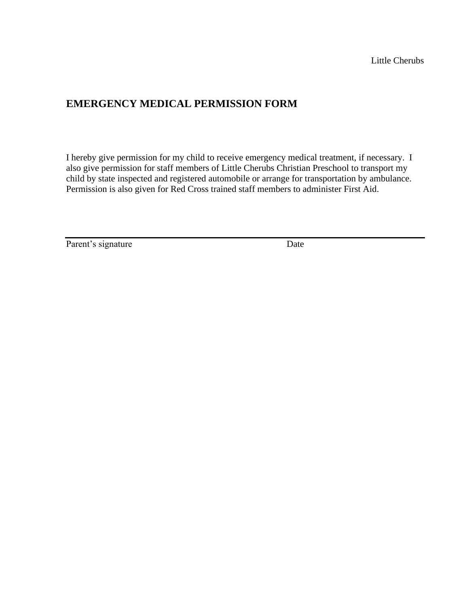### **EMERGENCY MEDICAL PERMISSION FORM**

I hereby give permission for my child to receive emergency medical treatment, if necessary. I also give permission for staff members of Little Cherubs Christian Preschool to transport my child by state inspected and registered automobile or arrange for transportation by ambulance. Permission is also given for Red Cross trained staff members to administer First Aid.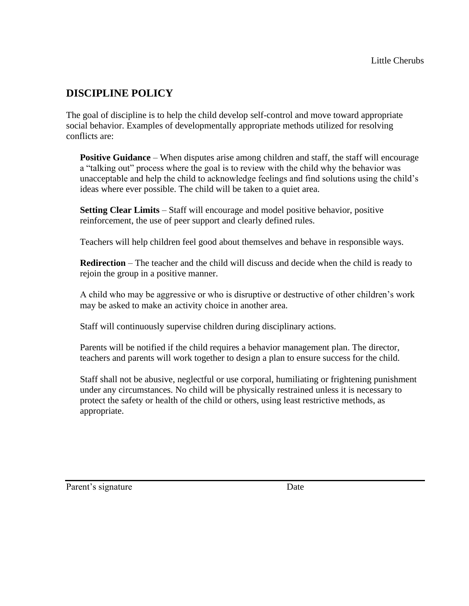# **DISCIPLINE POLICY**

The goal of discipline is to help the child develop self-control and move toward appropriate social behavior. Examples of developmentally appropriate methods utilized for resolving conflicts are:

**Positive Guidance** – When disputes arise among children and staff, the staff will encourage a "talking out" process where the goal is to review with the child why the behavior was unacceptable and help the child to acknowledge feelings and find solutions using the child's ideas where ever possible. The child will be taken to a quiet area.

**Setting Clear Limits** – Staff will encourage and model positive behavior, positive reinforcement, the use of peer support and clearly defined rules.

Teachers will help children feel good about themselves and behave in responsible ways.

**Redirection** – The teacher and the child will discuss and decide when the child is ready to rejoin the group in a positive manner.

A child who may be aggressive or who is disruptive or destructive of other children's work may be asked to make an activity choice in another area.

Staff will continuously supervise children during disciplinary actions.

Parents will be notified if the child requires a behavior management plan. The director, teachers and parents will work together to design a plan to ensure success for the child.

Staff shall not be abusive, neglectful or use corporal, humiliating or frightening punishment under any circumstances. No child will be physically restrained unless it is necessary to protect the safety or health of the child or others, using least restrictive methods, as appropriate.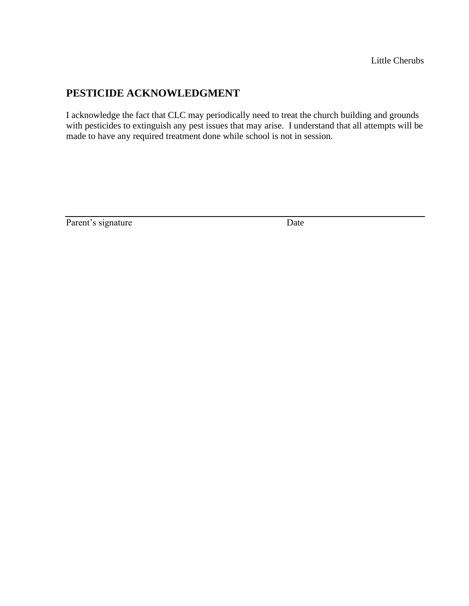## **PESTICIDE ACKNOWLEDGMENT**

I acknowledge the fact that CLC may periodically need to treat the church building and grounds with pesticides to extinguish any pest issues that may arise. I understand that all attempts will be made to have any required treatment done while school is not in session.